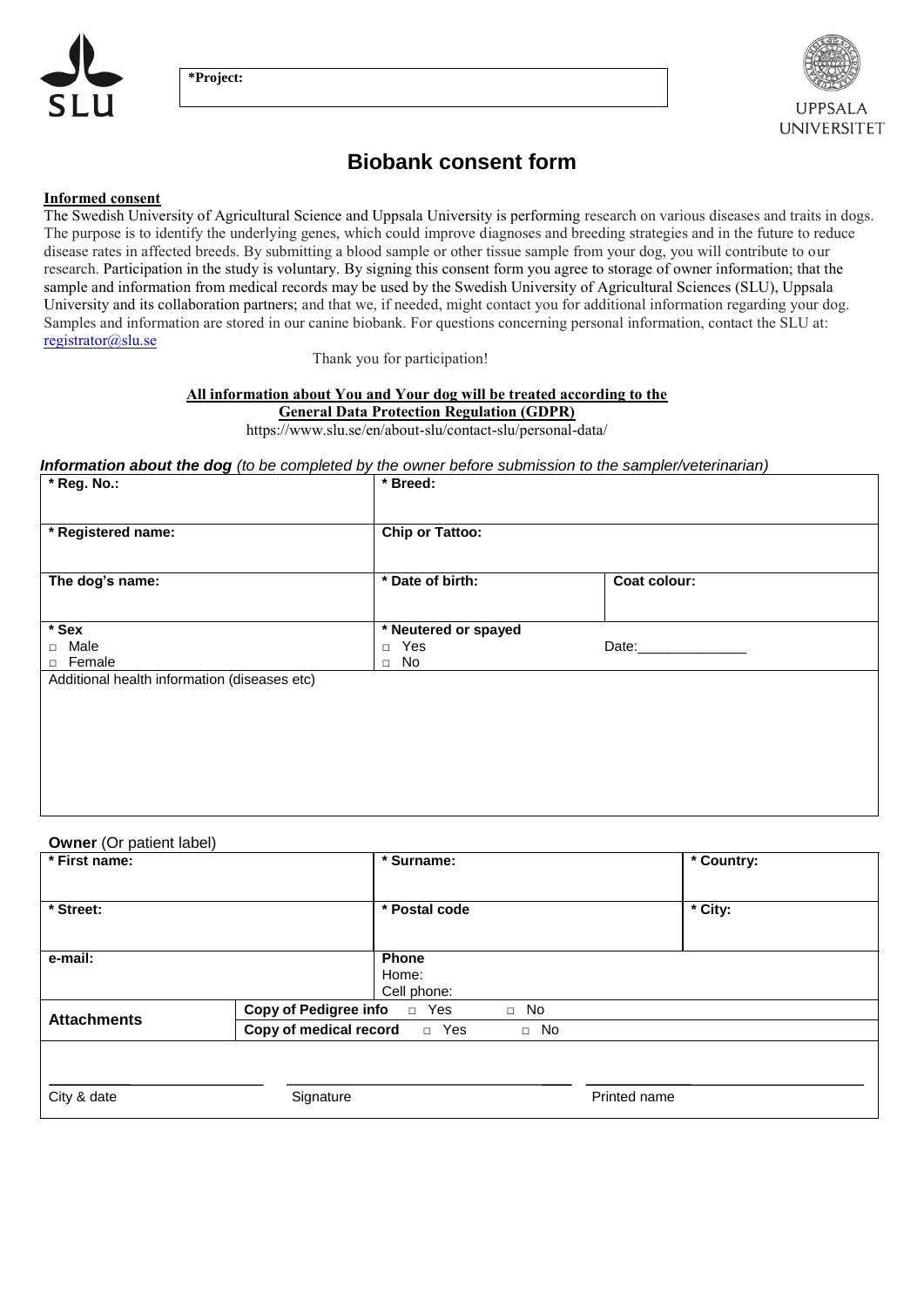



**UNIVERSITET** 

**Biobank consent form**

## **Informed consent**

The Swedish University of Agricultural Science and Uppsala University is performing research on various diseases and traits in dogs. The purpose is to identify the underlying genes, which could improve diagnoses and breeding strategies and in the future to reduce disease rates in affected breeds. By submitting a blood sample or other tissue sample from your dog, you will contribute to our research. Participation in the study is voluntary. By signing this consent form you agree to storage of owner information; that the sample and information from medical records may be used by the Swedish University of Agricultural Sciences (SLU), Uppsala University and its collaboration partners; and that we, if needed, might contact you for additional information regarding your dog. Samples and information are stored in our canine biobank. For questions concerning personal information, contact the SLU at: [registrator@slu.se](mailto:registrator@slu.se)

Thank you for participation!

### **All information about You and Your dog will be treated according to the**

#### **General Data Protection Regulation (GDPR)**

https://www.slu.se/en/about-slu/contact-slu/personal-data/

#### *Information about the dog (to be completed by the owner before submission to the sampler/veterinarian)*

| * Reg. No.:                                  | * Breed:               |              |
|----------------------------------------------|------------------------|--------------|
| * Registered name:                           | <b>Chip or Tattoo:</b> |              |
|                                              |                        |              |
| The dog's name:                              | * Date of birth:       | Coat colour: |
|                                              |                        |              |
| * Sex                                        | * Neutered or spayed   |              |
| □ Male                                       | $\Box$ Yes             | Date:        |
| □ Female                                     | $\Box$ No              |              |
| Additional health information (diseases etc) |                        |              |
|                                              |                        |              |
|                                              |                        |              |
|                                              |                        |              |
|                                              |                        |              |
|                                              |                        |              |
|                                              |                        |              |
|                                              |                        |              |
|                                              |                        |              |

#### **Owner** (Or patient label)

| $*$ First name:    | $\overline{\cdot}$ Surname:                   |              |              | * Country: |
|--------------------|-----------------------------------------------|--------------|--------------|------------|
|                    |                                               |              |              |            |
| * Street:          | * Postal code                                 |              |              | * City:    |
|                    |                                               |              |              |            |
| e-mail:            | <b>Phone</b>                                  |              |              |            |
|                    | Home:                                         |              |              |            |
|                    | Cell phone:                                   |              |              |            |
| <b>Attachments</b> | <b>Copy of Pedigree info</b><br>Yes<br>$\Box$ | No<br>$\Box$ |              |            |
|                    | Copy of medical record<br>D Yes               | No<br>$\Box$ |              |            |
|                    |                                               |              |              |            |
|                    |                                               |              |              |            |
| City & date        | Signature                                     |              | Printed name |            |
|                    |                                               |              |              |            |